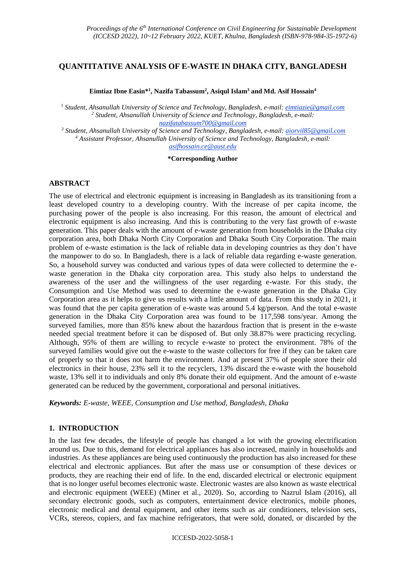## **QUANTITATIVE ANALYSIS OF E-WASTE IN DHAKA CITY, BANGLADESH**

**Eimtiaz Ibne Easin\* 1 , Nazifa Tabassum<sup>2</sup> , Asiqul Islam<sup>3</sup> and Md. Asif Hossain<sup>4</sup>**

<sup>1</sup> *Student, Ahsanullah University of Science and Technology, Bangladesh, e-mail: eimtiazie@gmail.com <sup>2</sup> Student, Ahsanullah University of Science and Technology, Bangladesh, e-mail: nazifatabassum700@gmail.com*

*<sup>3</sup> Student, Ahsanullah University of Science and Technology, Bangladesh, e-mail: aiorvil85@gmail.com <sup>4</sup> Assistant Professor, Ahsanullah University of Science and Technology, Bangladesh, e-mail: asifhossain.ce@aust.edu*

#### **\*Corresponding Author**

#### **ABSTRACT**

The use of electrical and electronic equipment is increasing in Bangladesh as its transitioning from a least developed country to a developing country. With the increase of per capita income, the purchasing power of the people is also increasing. For this reason, the amount of electrical and electronic equipment is also increasing. And this is contributing to the very fast growth of e-waste generation. This paper deals with the amount of e-waste generation from households in the Dhaka city corporation area, both Dhaka North City Corporation and Dhaka South City Corporation. The main problem of e-waste estimation is the lack of reliable data in developing countries as they don't have the manpower to do so. In Bangladesh, there is a lack of reliable data regarding e-waste generation. So, a household survey was conducted and various types of data were collected to determine the ewaste generation in the Dhaka city corporation area. This study also helps to understand the awareness of the user and the willingness of the user regarding e-waste. For this study, the Consumption and Use Method was used to determine the e-waste generation in the Dhaka City Corporation area as it helps to give us results with a little amount of data. From this study in 2021, it was found that the per capita generation of e-waste was around 5.4 kg/person. And the total e-waste generation in the Dhaka City Corporation area was found to be 117,598 tons/year. Among the surveyed families, more than 85% knew about the hazardous fraction that is present in the e-waste needed special treatment before it can be disposed of. But only 38.87% were practicing recycling. Although, 95% of them are willing to recycle e-waste to protect the environment. 78% of the surveyed families would give out the e-waste to the waste collectors for free if they can be taken care of properly so that it does not harm the environment. And at present 37% of people store their old electronics in their house, 23% sell it to the recyclers, 13% discard the e-waste with the household waste, 13% sell it to individuals and only 8% donate their old equipment. And the amount of e-waste generated can be reduced by the government, corporational and personal initiatives.

*Keywords: E-waste, WEEE, Consumption and Use method, Bangladesh, Dhaka*

### **1. INTRODUCTION**

In the last few decades, the lifestyle of people has changed a lot with the growing electrification around us. Due to this, demand for electrical appliances has also increased, mainly in households and industries. As these appliances are being used continuously the production has also increased for these electrical and electronic appliances. But after the mass use or consumption of these devices or products, they are reaching their end of life. In the end, discarded electrical or electronic equipment that is no longer useful becomes electronic waste. Electronic wastes are also known as waste electrical and electronic equipment (WEEE) (Miner et al., 2020). So, according to Nazrul Islam (2016), all secondary electronic goods, such as computers, entertainment device electronics, mobile phones, electronic medical and dental equipment, and other items such as air conditioners, television sets, VCRs, stereos, copiers, and fax machine refrigerators, that were sold, donated, or discarded by the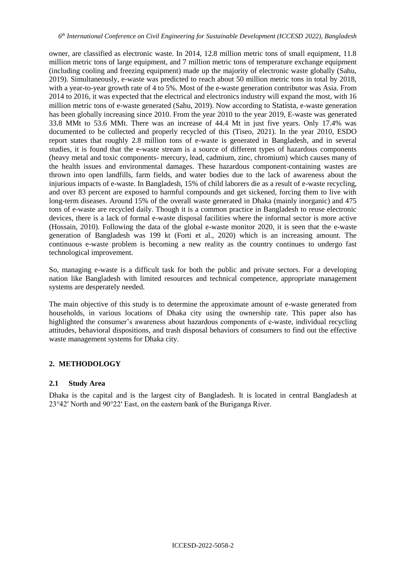owner, are classified as electronic waste. In 2014, 12.8 million metric tons of small equipment, 11.8 million metric tons of large equipment, and 7 million metric tons of temperature exchange equipment (including cooling and freezing equipment) made up the majority of electronic waste globally (Sahu, 2019). Simultaneously, e-waste was predicted to reach about 50 million metric tons in total by 2018, with a year-to-year growth rate of 4 to 5%. Most of the e-waste generation contributor was Asia. From 2014 to 2016, it was expected that the electrical and electronics industry will expand the most, with 16 million metric tons of e-waste generated (Sahu, 2019). Now according to Statista, e-waste generation has been globally increasing since 2010. From the year 2010 to the year 2019, E-waste was generated 33.8 MMt to 53.6 MMt. There was an increase of 44.4 Mt in just five years. Only 17.4% was documented to be collected and properly recycled of this (Tiseo, 2021). In the year 2010, ESDO report states that roughly 2.8 million tons of e-waste is generated in Bangladesh, and in several studies, it is found that the e-waste stream is a source of different types of hazardous components (heavy metal and toxic components- mercury, lead, cadmium, zinc, chromium) which causes many of the health issues and environmental damages. These hazardous component-containing wastes are thrown into open landfills, farm fields, and water bodies due to the lack of awareness about the injurious impacts of e-waste. In Bangladesh, 15% of child laborers die as a result of e-waste recycling, and over 83 percent are exposed to harmful compounds and get sickened, forcing them to live with long-term diseases. Around 15% of the overall waste generated in Dhaka (mainly inorganic) and 475 tons of e-waste are recycled daily. Though it is a common practice in Bangladesh to reuse electronic devices, there is a lack of formal e-waste disposal facilities where the informal sector is more active (Hossain, 2010). Following the data of the global e-waste monitor 2020, it is seen that the e-waste generation of Bangladesh was 199 kt (Forti et al., 2020) which is an increasing amount. The continuous e-waste problem is becoming a new reality as the country continues to undergo fast technological improvement.

So, managing e-waste is a difficult task for both the public and private sectors. For a developing nation like Bangladesh with limited resources and technical competence, appropriate management systems are desperately needed.

The main objective of this study is to determine the approximate amount of e-waste generated from households, in various locations of Dhaka city using the ownership rate. This paper also has highlighted the consumer's awareness about hazardous components of e-waste, individual recycling attitudes, behavioral dispositions, and trash disposal behaviors of consumers to find out the effective waste management systems for Dhaka city.

# **2. METHODOLOGY**

### **2.1 Study Area**

Dhaka is the capital and is the largest city of Bangladesh. It is located in central Bangladesh at 23°42′ North and 90°22′ East, on the eastern bank of the Buriganga River.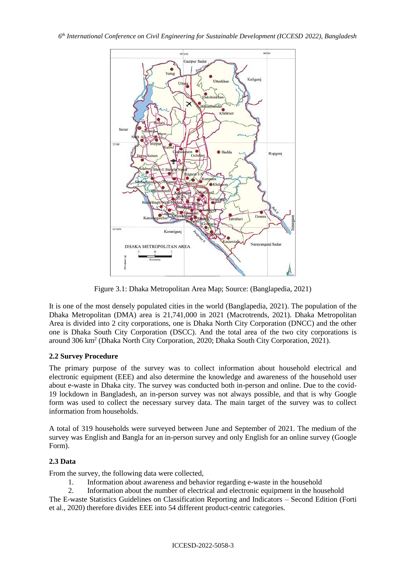

Figure 3.1: Dhaka Metropolitan Area Map; Source: (Banglapedia, 2021)

It is one of the most densely populated cities in the world (Banglapedia, 2021). The population of the Dhaka Metropolitan (DMA) area is 21,741,000 in 2021 (Macrotrends, 2021). Dhaka Metropolitan Area is divided into 2 city corporations, one is Dhaka North City Corporation (DNCC) and the other one is Dhaka South City Corporation (DSCC). And the total area of the two city corporations is around 306 km<sup>2</sup> (Dhaka North City Corporation, 2020; Dhaka South City Corporation, 2021).

# **2.2 Survey Procedure**

The primary purpose of the survey was to collect information about household electrical and electronic equipment (EEE) and also determine the knowledge and awareness of the household user about e-waste in Dhaka city. The survey was conducted both in-person and online. Due to the covid-19 lockdown in Bangladesh, an in-person survey was not always possible, and that is why Google form was used to collect the necessary survey data. The main target of the survey was to collect information from households.

A total of 319 households were surveyed between June and September of 2021. The medium of the survey was English and Bangla for an in-person survey and only English for an online survey (Google Form).

# **2.3 Data**

From the survey, the following data were collected,

1. Information about awareness and behavior regarding e-waste in the household

2. Information about the number of electrical and electronic equipment in the household The E-waste Statistics Guidelines on Classification Reporting and Indicators – Second Edition (Forti et al., 2020) therefore divides EEE into 54 different product-centric categories.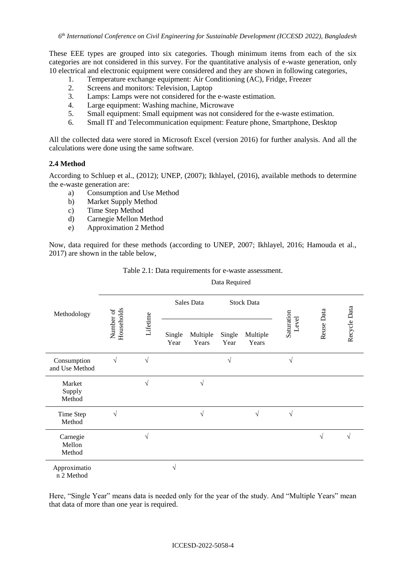These EEE types are grouped into six categories. Though minimum items from each of the six categories are not considered in this survey. For the quantitative analysis of e-waste generation, only 10 electrical and electronic equipment were considered and they are shown in following categories,

- 1. Temperature exchange equipment: Air Conditioning (AC), Fridge, Freezer
- 2. Screens and monitors: Television, Laptop
- 3. Lamps: Lamps were not considered for the e-waste estimation.
- 4. Large equipment: Washing machine, Microwave
- 5. Small equipment: Small equipment was not considered for the e-waste estimation.
- 6. Small IT and Telecommunication equipment: Feature phone, Smartphone, Desktop

All the collected data were stored in Microsoft Excel (version 2016) for further analysis. And all the calculations were done using the same software.

#### **2.4 Method**

According to Schluep et al., (2012); UNEP, (2007); Ikhlayel, (2016), available methods to determine the e-waste generation are:

- a) Consumption and Use Method
- b) Market Supply Method
- c) Time Step Method
- d) Carnegie Mellon Method
- e) Approximation 2 Method

Now, data required for these methods (according to UNEP, 2007; Ikhlayel, 2016; Hamouda et al., 2017) are shown in the table below,

| Methodology                   | Data Required           |            |                |                   |                   |                   |                     |            |              |  |
|-------------------------------|-------------------------|------------|----------------|-------------------|-------------------|-------------------|---------------------|------------|--------------|--|
|                               | Households<br>Number of | Lifetime   | Sales Data     |                   | <b>Stock Data</b> |                   |                     |            |              |  |
|                               |                         |            | Single<br>Year | Multiple<br>Years | Single<br>Year    | Multiple<br>Years | Saturation<br>Level | Reuse Data | Recycle Data |  |
| Consumption<br>and Use Method | V                       | $\sqrt{}$  |                |                   | V                 |                   | $\sqrt{ }$          |            |              |  |
| Market<br>Supply<br>Method    |                         | $\sqrt{}$  |                | $\sqrt{}$         |                   |                   |                     |            |              |  |
| Time Step<br>Method           | V                       |            |                | $\sqrt{}$         |                   | $\sqrt{ }$        | $\sqrt{}$           |            |              |  |
| Carnegie<br>Mellon<br>Method  |                         | $\sqrt{ }$ |                |                   |                   |                   |                     | $\sqrt{}$  | $\sqrt{}$    |  |
| Approximatio<br>n 2 Method    |                         |            | $\sqrt{}$      |                   |                   |                   |                     |            |              |  |

#### Table 2.1: Data requirements for e-waste assessment.

Data Required

Here, "Single Year" means data is needed only for the year of the study. And "Multiple Years" mean that data of more than one year is required.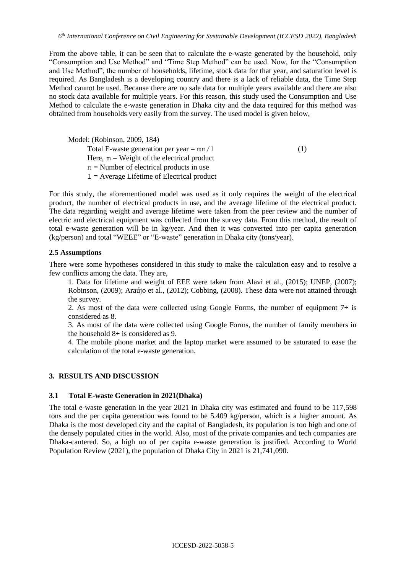From the above table, it can be seen that to calculate the e-waste generated by the household, only "Consumption and Use Method" and "Time Step Method" can be used. Now, for the "Consumption and Use Method", the number of households, lifetime, stock data for that year, and saturation level is required. As Bangladesh is a developing country and there is a lack of reliable data, the Time Step Method cannot be used. Because there are no sale data for multiple years available and there are also no stock data available for multiple years. For this reason, this study used the Consumption and Use Method to calculate the e-waste generation in Dhaka city and the data required for this method was obtained from households very easily from the survey. The used model is given below,

Model: (Robinson, 2009, 184) Total E-waste generation per year  $=$  mn/ $\perp$  (1) Here,  $m = Weight$  of the electrical product n = Number of electrical products in use  $l =$  Average Lifetime of Electrical product

For this study, the aforementioned model was used as it only requires the weight of the electrical product, the number of electrical products in use, and the average lifetime of the electrical product. The data regarding weight and average lifetime were taken from the peer review and the number of electric and electrical equipment was collected from the survey data. From this method, the result of total e-waste generation will be in kg/year. And then it was converted into per capita generation (kg/person) and total "WEEE" or "E-waste" generation in Dhaka city (tons/year).

### **2.5 Assumptions**

There were some hypotheses considered in this study to make the calculation easy and to resolve a few conflicts among the data. They are,

1. Data for lifetime and weight of EEE were taken from Alavi et al., (2015); UNEP, (2007); Robinson, (2009); Araújo et al., (2012); Cobbing, (2008). These data were not attained through the survey.

2. As most of the data were collected using Google Forms, the number of equipment  $7+$  is considered as 8.

3. As most of the data were collected using Google Forms, the number of family members in the household 8+ is considered as 9.

4. The mobile phone market and the laptop market were assumed to be saturated to ease the calculation of the total e-waste generation.

### **3. RESULTS AND DISCUSSION**

### **3.1 Total E-waste Generation in 2021(Dhaka)**

The total e-waste generation in the year 2021 in Dhaka city was estimated and found to be 117,598 tons and the per capita generation was found to be 5.409 kg/person, which is a higher amount. As Dhaka is the most developed city and the capital of Bangladesh, its population is too high and one of the densely populated cities in the world. Also, most of the private companies and tech companies are Dhaka-cantered. So, a high no of per capita e-waste generation is justified. According to World Population Review (2021), the population of Dhaka City in 2021 is 21,741,090.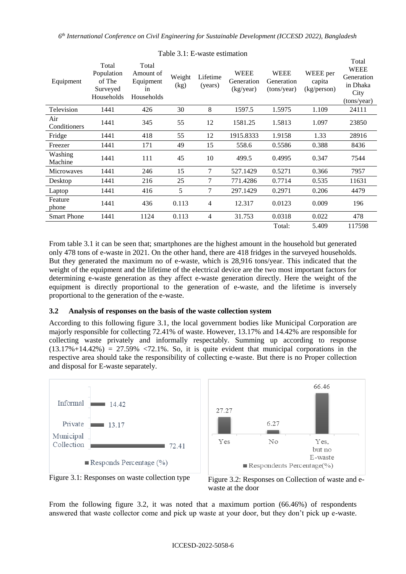| Equipment           | Total<br>Population<br>of The<br>Surveyed<br>Households | Total<br>Amount of<br>Equipment<br>in<br>Households | Weight<br>(kg) | Lifetime<br>(years) | <b>WEEE</b><br>Generation<br>(kg/year) | <b>WEEE</b><br>Generation<br>(tons/year) | WEEE per<br>capita<br>(kg/person) | Total<br><b>WEEE</b><br>Generation<br>in Dhaka<br>City<br>(tons/year) |
|---------------------|---------------------------------------------------------|-----------------------------------------------------|----------------|---------------------|----------------------------------------|------------------------------------------|-----------------------------------|-----------------------------------------------------------------------|
| Television          | 1441                                                    | 426                                                 | 30             | 8                   | 1597.5                                 | 1.5975                                   | 1.109                             | 24111                                                                 |
| Air<br>Conditioners | 1441                                                    | 345                                                 | 55             | 12                  | 1581.25                                | 1.5813                                   | 1.097                             | 23850                                                                 |
| Fridge              | 1441                                                    | 418                                                 | 55             | 12                  | 1915.8333                              | 1.9158                                   | 1.33                              | 28916                                                                 |
| Freezer             | 1441                                                    | 171                                                 | 49             | 15                  | 558.6                                  | 0.5586                                   | 0.388                             | 8436                                                                  |
| Washing<br>Machine  | 1441                                                    | 111                                                 | 45             | 10                  | 499.5                                  | 0.4995                                   | 0.347                             | 7544                                                                  |
| <b>Microwaves</b>   | 1441                                                    | 246                                                 | 15             | $\tau$              | 527.1429                               | 0.5271                                   | 0.366                             | 7957                                                                  |
| Desktop             | 1441                                                    | 216                                                 | 25             | $\tau$              | 771.4286                               | 0.7714                                   | 0.535                             | 11631                                                                 |
| Laptop              | 1441                                                    | 416                                                 | 5              | $\tau$              | 297.1429                               | 0.2971                                   | 0.206                             | 4479                                                                  |
| Feature<br>phone    | 1441                                                    | 436                                                 | 0.113          | $\overline{4}$      | 12.317                                 | 0.0123                                   | 0.009                             | 196                                                                   |
| <b>Smart Phone</b>  | 1441                                                    | 1124                                                | 0.113          | $\overline{4}$      | 31.753                                 | 0.0318                                   | 0.022                             | 478                                                                   |
|                     |                                                         |                                                     |                |                     |                                        | Total:                                   | 5.409                             | 117598                                                                |

### Table 3.1: E-waste estimation

From table 3.1 it can be seen that; smartphones are the highest amount in the household but generated only 478 tons of e-waste in 2021. On the other hand, there are 418 fridges in the surveyed households. But they generated the maximum no of e-waste, which is 28,916 tons/year. This indicated that the weight of the equipment and the lifetime of the electrical device are the two most important factors for determining e-waste generation as they affect e-waste generation directly. Here the weight of the equipment is directly proportional to the generation of e-waste, and the lifetime is inversely proportional to the generation of the e-waste.

### **3.2 Analysis of responses on the basis of the waste collection system**

According to this following figure 3.1, the local government bodies like Municipal Corporation are majorly responsible for collecting 72.41% of waste. However, 13.17% and 14.42% are responsible for collecting waste privately and informally respectably. Summing up according to response  $(13.17\% + 14.42\%) = 27.59\%$  <72.1%. So, it is quite evident that municipal corporations in the respective area should take the responsibility of collecting e-waste. But there is no Proper collection and disposal for E-waste separately.



From the following figure 3.2, it was noted that a maximum portion (66.46%) of respondents answered that waste collector come and pick up waste at your door, but they don't pick up e-waste.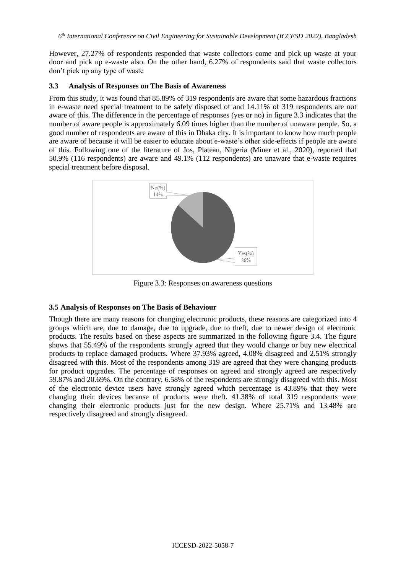However, 27.27% of respondents responded that waste collectors come and pick up waste at your door and pick up e-waste also. On the other hand, 6.27% of respondents said that waste collectors don't pick up any type of waste

### **3.3 Analysis of Responses on The Basis of Awareness**

From this study, it was found that 85.89% of 319 respondents are aware that some hazardous fractions in e-waste need special treatment to be safely disposed of and 14.11% of 319 respondents are not aware of this. The difference in the percentage of responses (yes or no) in figure 3.3 indicates that the number of aware people is approximately 6.09 times higher than the number of unaware people. So, a good number of respondents are aware of this in Dhaka city. It is important to know how much people are aware of because it will be easier to educate about e-waste's other side-effects if people are aware of this. Following one of the literature of Jos, Plateau, Nigeria (Miner et al., 2020), reported that 50.9% (116 respondents) are aware and 49.1% (112 respondents) are unaware that e-waste requires special treatment before disposal.



Figure 3.3: Responses on awareness questions

# **3.5 Analysis of Responses on The Basis of Behaviour**

Though there are many reasons for changing electronic products, these reasons are categorized into 4 groups which are, due to damage, due to upgrade, due to theft, due to newer design of electronic products. The results based on these aspects are summarized in the following figure 3.4. The figure shows that 55.49% of the respondents strongly agreed that they would change or buy new electrical products to replace damaged products. Where 37.93% agreed, 4.08% disagreed and 2.51% strongly disagreed with this. Most of the respondents among 319 are agreed that they were changing products for product upgrades. The percentage of responses on agreed and strongly agreed are respectively 59.87% and 20.69%. On the contrary, 6.58% of the respondents are strongly disagreed with this. Most of the electronic device users have strongly agreed which percentage is 43.89% that they were changing their devices because of products were theft. 41.38% of total 319 respondents were changing their electronic products just for the new design. Where 25.71% and 13.48% are respectively disagreed and strongly disagreed.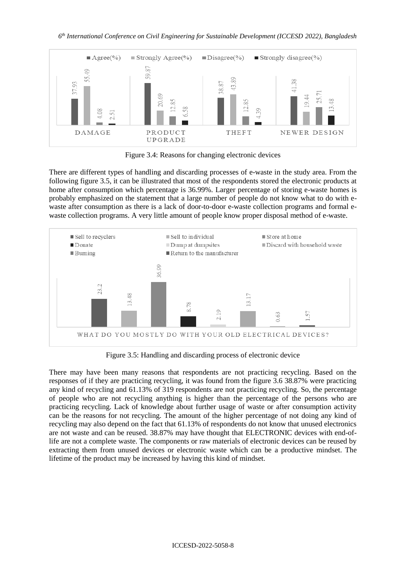*6 th International Conference on Civil Engineering for Sustainable Development (ICCESD 2022), Bangladesh*



Figure 3.4: Reasons for changing electronic devices

There are different types of handling and discarding processes of e-waste in the study area. From the following figure 3.5, it can be illustrated that most of the respondents stored the electronic products at home after consumption which percentage is 36.99%. Larger percentage of storing e-waste homes is probably emphasized on the statement that a large number of people do not know what to do with ewaste after consumption as there is a lack of door-to-door e-waste collection programs and formal ewaste collection programs. A very little amount of people know proper disposal method of e-waste.



Figure 3.5: Handling and discarding process of electronic device

There may have been many reasons that respondents are not practicing recycling. Based on the responses of if they are practicing recycling, it was found from the figure 3.6 38.87% were practicing any kind of recycling and 61.13% of 319 respondents are not practicing recycling. So, the percentage of people who are not recycling anything is higher than the percentage of the persons who are practicing recycling. Lack of knowledge about further usage of waste or after consumption activity can be the reasons for not recycling. The amount of the higher percentage of not doing any kind of recycling may also depend on the fact that 61.13% of respondents do not know that unused electronics are not waste and can be reused. 38.87% may have thought that ELECTRONIC devices with end-oflife are not a complete waste. The components or raw materials of electronic devices can be reused by extracting them from unused devices or electronic waste which can be a productive mindset. The lifetime of the product may be increased by having this kind of mindset.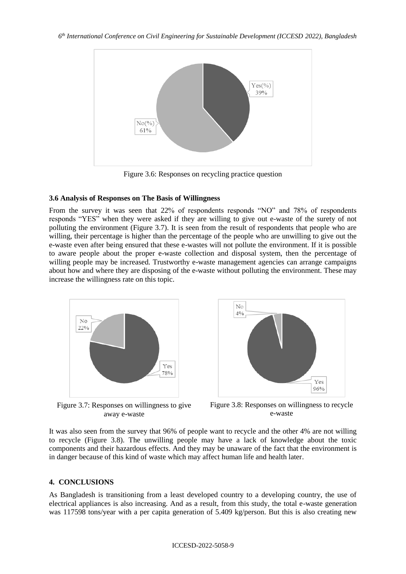

Figure 3.6: Responses on recycling practice question

#### **3.6 Analysis of Responses on The Basis of Willingness**

From the survey it was seen that 22% of respondents responds "NO" and 78% of respondents responds "YES" when they were asked if they are willing to give out e-waste of the surety of not polluting the environment (Figure 3.7). It is seen from the result of respondents that people who are willing, their percentage is higher than the percentage of the people who are unwilling to give out the e-waste even after being ensured that these e-wastes will not pollute the environment. If it is possible to aware people about the proper e-waste collection and disposal system, then the percentage of willing people may be increased. Trustworthy e-waste management agencies can arrange campaigns about how and where they are disposing of the e-waste without polluting the environment. These may increase the willingness rate on this topic.



Figure 3.7: Responses on willingness to give away e-waste



Figure 3.8: Responses on willingness to recycle e-waste

It was also seen from the survey that 96% of people want to recycle and the other 4% are not willing to recycle (Figure 3.8). The unwilling people may have a lack of knowledge about the toxic components and their hazardous effects. And they may be unaware of the fact that the environment is in danger because of this kind of waste which may affect human life and health later.

### **4. CONCLUSIONS**

As Bangladesh is transitioning from a least developed country to a developing country, the use of electrical appliances is also increasing. And as a result, from this study, the total e-waste generation was 117598 tons/year with a per capita generation of 5.409 kg/person. But this is also creating new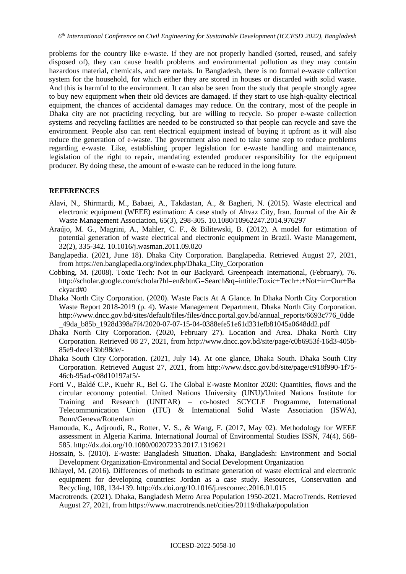problems for the country like e-waste. If they are not properly handled (sorted, reused, and safely disposed of), they can cause health problems and environmental pollution as they may contain hazardous material, chemicals, and rare metals. In Bangladesh, there is no formal e-waste collection system for the household, for which either they are stored in houses or discarded with solid waste. And this is harmful to the environment. It can also be seen from the study that people strongly agree to buy new equipment when their old devices are damaged. If they start to use high-quality electrical equipment, the chances of accidental damages may reduce. On the contrary, most of the people in Dhaka city are not practicing recycling, but are willing to recycle. So proper e-waste collection systems and recycling facilities are needed to be constructed so that people can recycle and save the environment. People also can rent electrical equipment instead of buying it upfront as it will also reduce the generation of e-waste. The government also need to take some step to reduce problems regarding e-waste. Like, establishing proper legislation for e-waste handling and maintenance, legislation of the right to repair, mandating extended producer responsibility for the equipment producer. By doing these, the amount of e-waste can be reduced in the long future.

### **REFERENCES**

- Alavi, N., Shirmardi, M., Babaei, A., Takdastan, A., & Bagheri, N. (2015). Waste electrical and electronic equipment (WEEE) estimation: A case study of Ahvaz City, Iran. Journal of the Air & Waste Management Association, 65(3), 298-305. 10.1080/10962247.2014.976297
- Araújo, M. G., Magrini, A., Mahler, C. F., & Bilitewski, B. (2012). A model for estimation of potential generation of waste electrical and electronic equipment in Brazil. Waste Management, 32(2), 335-342. 10.1016/j.wasman.2011.09.020
- Banglapedia. (2021, June 18). Dhaka City Corporation. Banglapedia. Retrieved August 27, 2021, from https://en.banglapedia.org/index.php/Dhaka\_City\_Corporation
- Cobbing, M. (2008). Toxic Tech: Not in our Backyard. Greenpeach International, (February), 76. http://scholar.google.com/scholar?hl=en&btnG=Search&q=intitle:Toxic+Tech+:+Not+in+Our+Ba ckyard#0
- Dhaka North City Corporation. (2020). Waste Facts At A Glance. In Dhaka North City Corporation Waste Report 2018-2019 (p. 4). Waste Management Department, Dhaka North City Corporation. http://www.dncc.gov.bd/sites/default/files/files/dncc.portal.gov.bd/annual\_reports/6693c776\_0dde \_49da\_b85b\_1928d398a7f4/2020-07-07-15-04-0388efe51e61d331efb81045a0648dd2.pdf
- Dhaka North City Corporation. (2020, February 27). Location and Area. Dhaka North City Corporation. Retrieved 08 27, 2021, from http://www.dncc.gov.bd/site/page/c0b6953f-16d3-405b-85e9-dece13bb98de/-
- Dhaka South City Corporation. (2021, July 14). At one glance, Dhaka South. Dhaka South City Corporation. Retrieved August 27, 2021, from http://www.dscc.gov.bd/site/page/c918f990-1f75- 46cb-95ad-c08d10197af5/-
- Forti V., Baldé C.P., Kuehr R., Bel G. The Global E-waste Monitor 2020: Quantities, flows and the circular economy potential. United Nations University (UNU)/United Nations Institute for Training and Research (UNITAR) – co-hosted SCYCLE Programme, International Telecommunication Union (ITU) & International Solid Waste Association (ISWA), Bonn/Geneva/Rotterdam
- Hamouda, K., Adjroudi, R., Rotter, V. S., & Wang, F. (2017, May 02). Methodology for WEEE assessment in Algeria Karima. International Journal of Environmental Studies ISSN, 74(4), 568- 585. http://dx.doi.org/10.1080/00207233.2017.1319621
- Hossain, S. (2010). E-waste: Bangladesh Situation. Dhaka, Bangladesh: Environment and Social Development Organization-Environmental and Social Development Organization
- Ikhlayel, M. (2016). Differences of methods to estimate generation of waste electrical and electronic equipment for developing countries: Jordan as a case study. Resources, Conservation and Recycling, 108, 134-139. http://dx.doi.org/10.1016/j.resconrec.2016.01.015
- Macrotrends. (2021). Dhaka, Bangladesh Metro Area Population 1950-2021. MacroTrends. Retrieved August 27, 2021, from https://www.macrotrends.net/cities/20119/dhaka/population